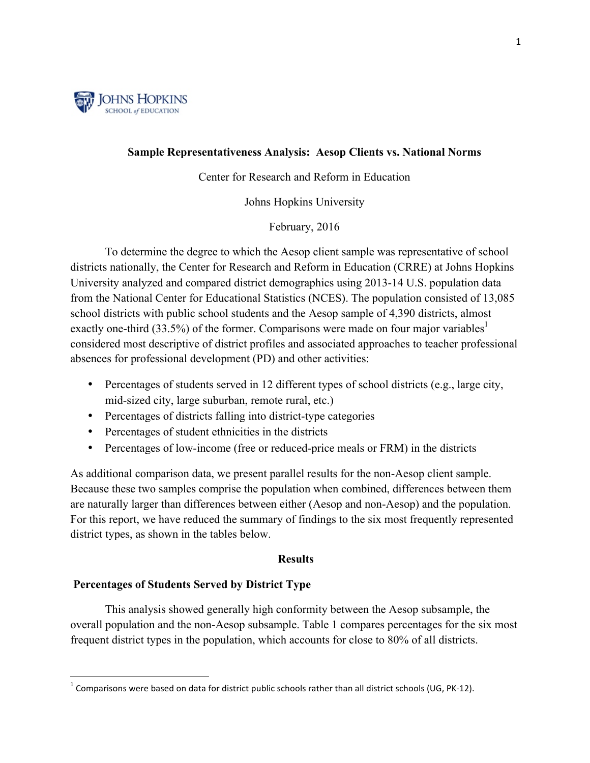

## **Sample Representativeness Analysis: Aesop Clients vs. National Norms**

# Center for Research and Reform in Education

Johns Hopkins University

February, 2016

To determine the degree to which the Aesop client sample was representative of school districts nationally, the Center for Research and Reform in Education (CRRE) at Johns Hopkins University analyzed and compared district demographics using 2013-14 U.S. population data from the National Center for Educational Statistics (NCES). The population consisted of 13,085 school districts with public school students and the Aesop sample of 4,390 districts, almost exactly one-third (33.5%) of the former. Comparisons were made on four major variables<sup>1</sup> considered most descriptive of district profiles and associated approaches to teacher professional absences for professional development (PD) and other activities:

- Percentages of students served in 12 different types of school districts (e.g., large city, mid-sized city, large suburban, remote rural, etc.)
- Percentages of districts falling into district-type categories
- Percentages of student ethnicities in the districts
- Percentages of low-income (free or reduced-price meals or FRM) in the districts

As additional comparison data, we present parallel results for the non-Aesop client sample. Because these two samples comprise the population when combined, differences between them are naturally larger than differences between either (Aesop and non-Aesop) and the population. For this report, we have reduced the summary of findings to the six most frequently represented district types, as shown in the tables below.

## **Results**

# **Percentages of Students Served by District Type**

 

This analysis showed generally high conformity between the Aesop subsample, the overall population and the non-Aesop subsample. Table 1 compares percentages for the six most frequent district types in the population, which accounts for close to 80% of all districts.

 $1$  Comparisons were based on data for district public schools rather than all district schools (UG, PK-12).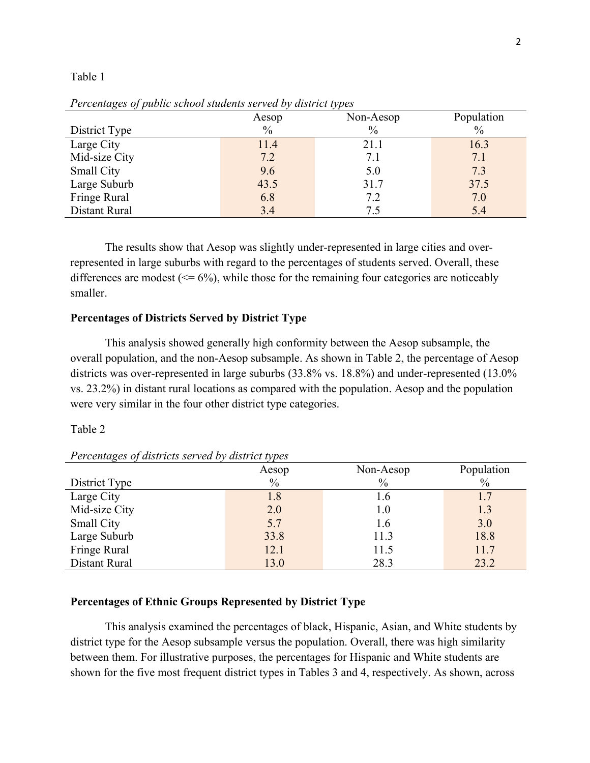#### Table 1

| Tercentages of public school stadents served by also ict types |               |               |            |
|----------------------------------------------------------------|---------------|---------------|------------|
|                                                                | Aesop         | Non-Aesop     | Population |
| District Type                                                  | $\frac{0}{0}$ | $\frac{0}{0}$ | $\%$       |
| Large City                                                     | 11.4          | 21.1          | 16.3       |
| Mid-size City                                                  | 7.2           | 7.1           | 7.1        |
| <b>Small City</b>                                              | 9.6           | 5.0           | 7.3        |
| Large Suburb                                                   | 43.5          | 31.7          | 37.5       |
| Fringe Rural                                                   | 6.8           | 7.2           | 7.0        |
| Distant Rural                                                  | 3.4           | 7.5           | 5.4        |

*Percentages of public school students served by district types*

The results show that Aesop was slightly under-represented in large cities and overrepresented in large suburbs with regard to the percentages of students served. Overall, these differences are modest  $(\leq 6\%)$ , while those for the remaining four categories are noticeably smaller.

# **Percentages of Districts Served by District Type**

This analysis showed generally high conformity between the Aesop subsample, the overall population, and the non-Aesop subsample. As shown in Table 2, the percentage of Aesop districts was over-represented in large suburbs (33.8% vs. 18.8%) and under-represented (13.0% vs. 23.2%) in distant rural locations as compared with the population. Aesop and the population were very similar in the four other district type categories.

#### Table 2

|                   | Aesop         | Non-Aesop     | Population    |
|-------------------|---------------|---------------|---------------|
| District Type     | $\frac{0}{0}$ | $\frac{0}{0}$ | $\frac{0}{0}$ |
| Large City        | 1.8           | 1.6           |               |
| Mid-size City     | 2.0           | $1.0\,$       | 1.3           |
| <b>Small City</b> | 5.7           | 1.6           | 3.0           |
| Large Suburb      | 33.8          | 11.3          | 18.8          |
| Fringe Rural      | 12.1          | 11.5          | 11.7          |
| Distant Rural     | 13.0          | 28.3          | 23.2          |

*Percentages of districts served by district types*

## **Percentages of Ethnic Groups Represented by District Type**

 This analysis examined the percentages of black, Hispanic, Asian, and White students by district type for the Aesop subsample versus the population. Overall, there was high similarity between them. For illustrative purposes, the percentages for Hispanic and White students are shown for the five most frequent district types in Tables 3 and 4, respectively. As shown, across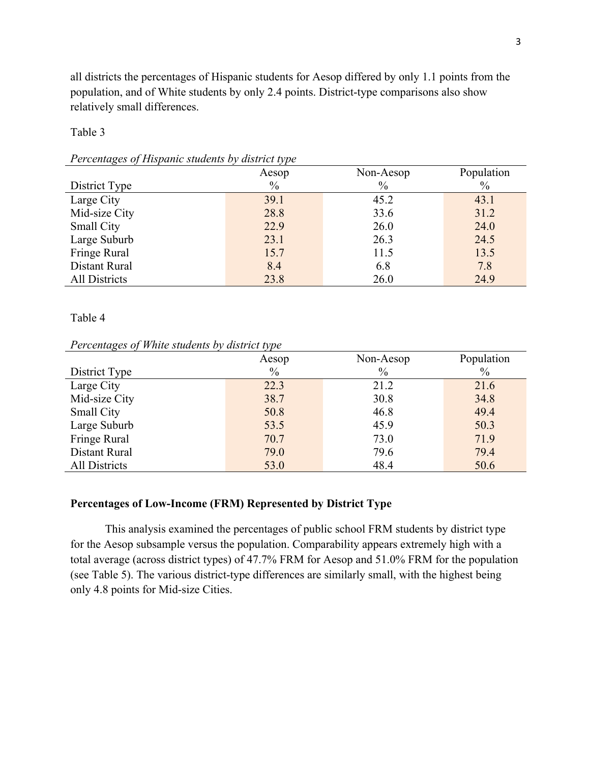all districts the percentages of Hispanic students for Aesop differed by only 1.1 points from the population, and of White students by only 2.4 points. District-type comparisons also show relatively small differences.

## Table 3

| I elemnizes of Hispanic statems by also to type |               |               |               |
|-------------------------------------------------|---------------|---------------|---------------|
|                                                 | Aesop         | Non-Aesop     | Population    |
| District Type                                   | $\frac{0}{0}$ | $\frac{0}{0}$ | $\frac{0}{0}$ |
| Large City                                      | 39.1          | 45.2          | 43.1          |
| Mid-size City                                   | 28.8          | 33.6          | 31.2          |
| <b>Small City</b>                               | 22.9          | 26.0          | 24.0          |
| Large Suburb                                    | 23.1          | 26.3          | 24.5          |
| Fringe Rural                                    | 15.7          | 11.5          | 13.5          |
| Distant Rural                                   | 8.4           | 6.8           | 7.8           |
| All Districts                                   | 23.8          | 26.0          | 24.9          |

# *Percentages of Hispanic students by district type*

# Table 4

## *Percentages of White students by district type*

|                      | Aesop | Non-Aesop | Population    |
|----------------------|-------|-----------|---------------|
| District Type        | $\%$  | $\%$      | $\frac{0}{0}$ |
| Large City           | 22.3  | 21.2      | 21.6          |
| Mid-size City        | 38.7  | 30.8      | 34.8          |
| <b>Small City</b>    | 50.8  | 46.8      | 49.4          |
| Large Suburb         | 53.5  | 45.9      | 50.3          |
| Fringe Rural         | 70.7  | 73.0      | 71.9          |
| Distant Rural        | 79.0  | 79.6      | 79.4          |
| <b>All Districts</b> | 53.0  | 48.4      | 50.6          |

# **Percentages of Low-Income (FRM) Represented by District Type**

This analysis examined the percentages of public school FRM students by district type for the Aesop subsample versus the population. Comparability appears extremely high with a total average (across district types) of 47.7% FRM for Aesop and 51.0% FRM for the population (see Table 5). The various district-type differences are similarly small, with the highest being only 4.8 points for Mid-size Cities.